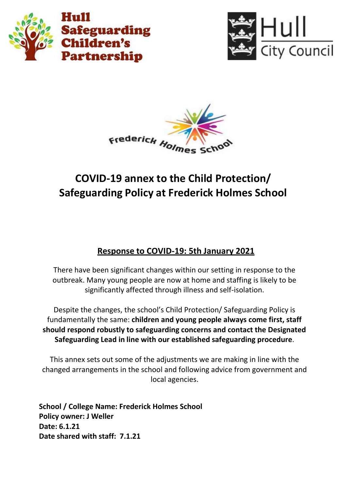





# **COVID-19 annex to the Child Protection/ Safeguarding Policy at Frederick Holmes School**

# **Response to COVID-19: 5th January 2021**

There have been significant changes within our setting in response to the outbreak. Many young people are now at home and staffing is likely to be significantly affected through illness and self-isolation.

Despite the changes, the school's Child Protection/ Safeguarding Policy is fundamentally the same: **children and young people always come first, staff should respond robustly to safeguarding concerns and contact the Designated Safeguarding Lead in line with our established safeguarding procedure**.

This annex sets out some of the adjustments we are making in line with the changed arrangements in the school and following advice from government and local agencies.

**School / College Name: Frederick Holmes School Policy owner: J Weller Date: 6.1.21 Date shared with staff: 7.1.21**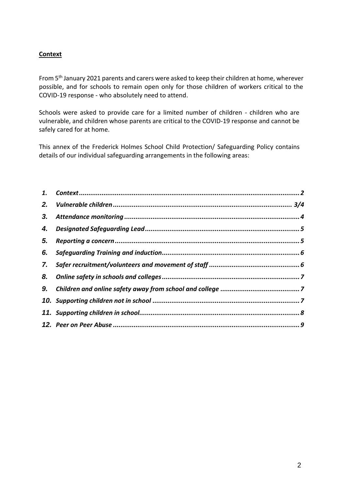# **Context**

From 5 th January 2021 parents and carers were asked to keep their children at home, wherever possible, and for schools to remain open only for those children of workers critical to the COVID-19 response - who absolutely need to attend.

Schools were asked to provide care for a limited number of children - children who are vulnerable, and children whose parents are critical to the COVID-19 response and cannot be safely cared for at home.

This annex of the Frederick Holmes School Child Protection/ Safeguarding Policy contains details of our individual safeguarding arrangements in the following areas:

| 2. |  |
|----|--|
| 3. |  |
| 4. |  |
| 5. |  |
| 6. |  |
| 7. |  |
| 8. |  |
| 9. |  |
|    |  |
|    |  |
|    |  |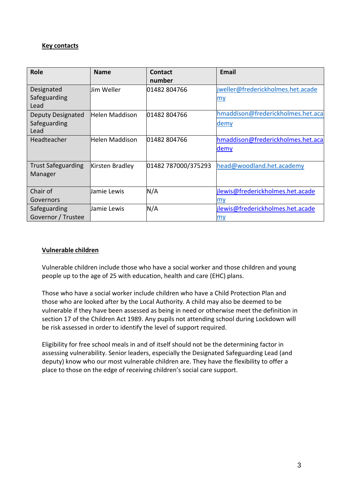### **Key contacts**

| <b>Role</b>               | <b>Name</b>     | Contact             | <b>Email</b>                      |
|---------------------------|-----------------|---------------------|-----------------------------------|
|                           |                 | number              |                                   |
| Designated                | lJim Weller     | 01482 804766        | jweller@frederickholmes.het.acade |
| Safeguarding              |                 |                     | <u>my</u>                         |
| Lead                      |                 |                     |                                   |
| <b>Deputy Designated</b>  | Helen Maddison  | 01482 804766        | hmaddison@frederickholmes.het.aca |
| Safeguarding              |                 |                     | demy                              |
| Lead                      |                 |                     |                                   |
| Headteacher               | Helen Maddison  | 01482 804766        | hmaddison@frederickholmes.het.aca |
|                           |                 |                     | demy                              |
|                           |                 |                     |                                   |
| <b>Trust Safeguarding</b> | Kirsten Bradley | 01482 787000/375293 | head@woodland.het.academy         |
| Manager                   |                 |                     |                                   |
|                           |                 |                     |                                   |
| Chair of                  | Jamie Lewis     | N/A                 | jlewis@frederickholmes.het.acade  |
| Governors                 |                 |                     | my                                |
| Safeguarding              | Jamie Lewis     | N/A                 | jlewis@frederickholmes.het.acade  |
| Governor / Trustee        |                 |                     | my                                |

# **Vulnerable children**

Vulnerable children include those who have a social worker and those children and young people up to the age of 25 with education, health and care (EHC) plans.

Those who have a social worker include children who have a Child Protection Plan and those who are looked after by the Local Authority. A child may also be deemed to be vulnerable if they have been assessed as being in need or otherwise meet the definition in section 17 of the Children Act 1989. Any pupils not attending school during Lockdown will be risk assessed in order to identify the level of support required.

Eligibility for free school meals in and of itself should not be the determining factor in assessing vulnerability. Senior leaders, especially the Designated Safeguarding Lead (and deputy) know who our most vulnerable children are. They have the flexibility to offer a place to those on the edge of receiving children's social care support.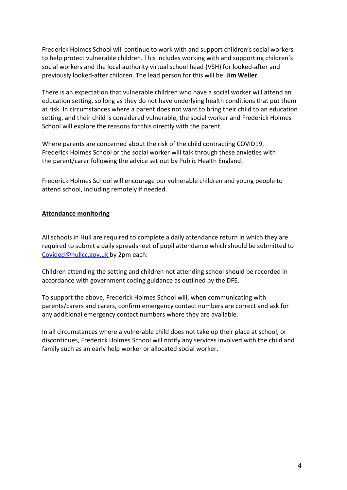Frederick Holmes School will continue to work with and support children's social workers to help protect vulnerable children. This includes working with and supporting children's social workers and the local authority virtual school head (VSH) for looked-after and previously looked-after children. The lead person for this will be: **Jim Weller**

There is an expectation that vulnerable children who have a social worker will attend an education setting, so long as they do not have underlying health conditions that put them at risk. In circumstances where a parent does not want to bring their child to an education setting, and their child is considered vulnerable, the social worker and Frederick Holmes School will explore the reasons for this directly with the parent.

Where parents are concerned about the risk of the child contracting COVID19, Frederick Holmes School or the social worker will talk through these anxieties with the parent/carer following the advice set out by Public Health England.

Frederick Holmes School will encourage our vulnerable children and young people to attend school, including remotely if needed.

#### **Attendance monitoring**

All schools in Hull are required to complete a daily attendance return in which they are required to submit a daily spreadsheet of pupil attendance which should be submitted to [Covided@hullcc.gov.uk](mailto:Covided@hullcc.gov.uk) by 2pm each.

Children attending the setting and children not attending school should be recorded in accordance with government coding guidance as outlined by the DFE.

To support the above, Frederick Holmes School will, when communicating with parents/carers and carers, confirm emergency contact numbers are correct and ask for any additional emergency contact numbers where they are available.

In all circumstances where a vulnerable child does not take up their place at school, or discontinues, Frederick Holmes School will notify any services involved with the child and family such as an early help worker or allocated social worker.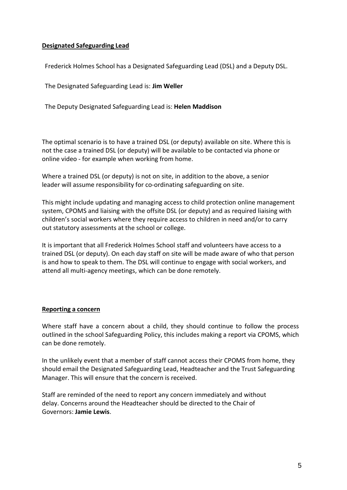### **Designated Safeguarding Lead**

Frederick Holmes School has a Designated Safeguarding Lead (DSL) and a Deputy DSL.

The Designated Safeguarding Lead is: **Jim Weller**

The Deputy Designated Safeguarding Lead is: **Helen Maddison**

The optimal scenario is to have a trained DSL (or deputy) available on site. Where this is not the case a trained DSL (or deputy) will be available to be contacted via phone or online video - for example when working from home.

Where a trained DSL (or deputy) is not on site, in addition to the above, a senior leader will assume responsibility for co-ordinating safeguarding on site.

This might include updating and managing access to child protection online management system, CPOMS and liaising with the offsite DSL (or deputy) and as required liaising with children's social workers where they require access to children in need and/or to carry out statutory assessments at the school or college.

It is important that all Frederick Holmes School staff and volunteers have access to a trained DSL (or deputy). On each day staff on site will be made aware of who that person is and how to speak to them. The DSL will continue to engage with social workers, and attend all multi-agency meetings, which can be done remotely.

#### **Reporting a concern**

Where staff have a concern about a child, they should continue to follow the process outlined in the school Safeguarding Policy, this includes making a report via CPOMS, which can be done remotely.

In the unlikely event that a member of staff cannot access their CPOMS from home, they should email the Designated Safeguarding Lead, Headteacher and the Trust Safeguarding Manager. This will ensure that the concern is received.

Staff are reminded of the need to report any concern immediately and without delay. Concerns around the Headteacher should be directed to the Chair of Governors: **Jamie Lewis**.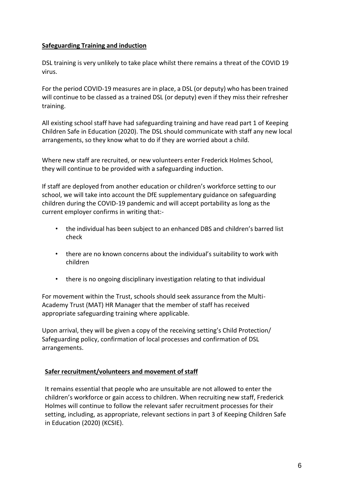# **Safeguarding Training and induction**

DSL training is very unlikely to take place whilst there remains a threat of the COVID 19 virus.

For the period COVID-19 measures are in place, a DSL (or deputy) who has been trained will continue to be classed as a trained DSL (or deputy) even if they miss their refresher training.

All existing school staff have had safeguarding training and have read part 1 of Keeping Children Safe in Education (2020). The DSL should communicate with staff any new local arrangements, so they know what to do if they are worried about a child.

Where new staff are recruited, or new volunteers enter Frederick Holmes School, they will continue to be provided with a safeguarding induction.

If staff are deployed from another education or children's workforce setting to our school, we will take into account the DfE supplementary guidance on safeguarding children during the COVID-19 pandemic and will accept portability as long as the current employer confirms in writing that:-

- the individual has been subject to an enhanced DBS and children's barred list check
- there are no known concerns about the individual's suitability to work with children
- there is no ongoing disciplinary investigation relating to that individual

For movement within the Trust, schools should seek assurance from the Multi-Academy Trust (MAT) HR Manager that the member of staff has received appropriate safeguarding training where applicable.

Upon arrival, they will be given a copy of the receiving setting's Child Protection/ Safeguarding policy, confirmation of local processes and confirmation of DSL arrangements.

#### **Safer recruitment/volunteers** and movement of staff

It remains essential that people who are unsuitable are not allowed to enter the children's workforce or gain access to children. When recruiting new staff, Frederick Holmes will continue to follow the relevant safer recruitment processes for their setting, including, as appropriate, relevant sections in part 3 of Keeping Children Safe in Education (2020) (KCSIE).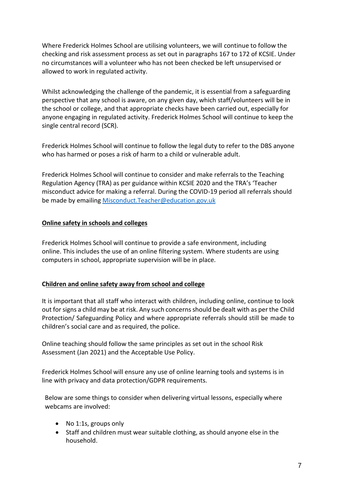Where Frederick Holmes School are utilising volunteers, we will continue to follow the checking and risk assessment process as set out in paragraphs 167 to 172 of KCSIE. Under no circumstances will a volunteer who has not been checked be left unsupervised or allowed to work in regulated activity.

Whilst acknowledging the challenge of the pandemic, it is essential from a safeguarding perspective that any school is aware, on any given day, which staff/volunteers will be in the school or college, and that appropriate checks have been carried out, especially for anyone engaging in regulated activity. Frederick Holmes School will continue to keep the single central record (SCR).

Frederick Holmes School will continue to follow the legal duty to refer to the DBS anyone who has harmed or poses a risk of harm to a child or vulnerable adult.

Frederick Holmes School will continue to consider and make referrals to the Teaching Regulation Agency (TRA) as per guidance within KCSIE 2020 and the TRA's 'Teacher misconduct advice for making a referral. During the COVID-19 period all referrals should be made by emailing [Misconduct.Teacher@education.gov.uk](mailto:Misconduct.Teacher@education.gov.uk)

# **Online safety in schools and colleges**

Frederick Holmes School will continue to provide a safe environment, including online. This includes the use of an online filtering system. Where students are using computers in school, appropriate supervision will be in place.

# **Children and online safety away from school and college**

It is important that all staff who interact with children, including online, continue to look out for signs a child may be at risk. Any such concerns should be dealt with as per the Child Protection/ Safeguarding Policy and where appropriate referrals should still be made to children's social care and as required, the police.

Online teaching should follow the same principles as set out in the school Risk Assessment (Jan 2021) and the Acceptable Use Policy.

Frederick Holmes School will ensure any use of online learning tools and systems is in line with privacy and data protection/GDPR requirements.

Below are some things to consider when delivering virtual lessons, especially where webcams are involved:

- No 1:1s, groups only
- Staff and children must wear suitable clothing, as should anyone else in the household.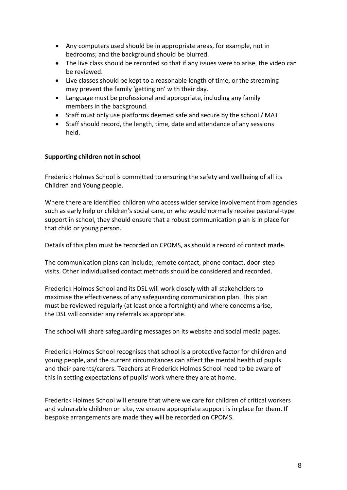- Any computers used should be in appropriate areas, for example, not in bedrooms; and the background should be blurred.
- The live class should be recorded so that if any issues were to arise, the video can be reviewed.
- Live classes should be kept to a reasonable length of time, or the streaming may prevent the family 'getting on' with their day.
- Language must be professional and appropriate, including any family members in the background.
- Staff must only use platforms deemed safe and secure by the school / MAT
- Staff should record, the length, time, date and attendance of any sessions held.

# **Supporting children not in school**

Frederick Holmes School is committed to ensuring the safety and wellbeing of all its Children and Young people.

Where there are identified children who access wider service involvement from agencies such as early help or children's social care, or who would normally receive pastoral-type support in school, they should ensure that a robust communication plan is in place for that child or young person.

Details of this plan must be recorded on CPOMS, as should a record of contact made.

The communication plans can include; remote contact, phone contact, door-step visits. Other individualised contact methods should be considered and recorded.

Frederick Holmes School and its DSL will work closely with all stakeholders to maximise the effectiveness of any safeguarding communication plan. This plan must be reviewed regularly (at least once a fortnight) and where concerns arise, the DSL will consider any referrals as appropriate.

The school will share safeguarding messages on its website and social media pages.

Frederick Holmes School recognises that school is a protective factor for children and young people, and the current circumstances can affect the mental health of pupils and their parents/carers. Teachers at Frederick Holmes School need to be aware of this in setting expectations of pupils' work where they are at home.

Frederick Holmes School will ensure that where we care for children of critical workers and vulnerable children on site, we ensure appropriate support is in place for them. If bespoke arrangements are made they will be recorded on CPOMS.